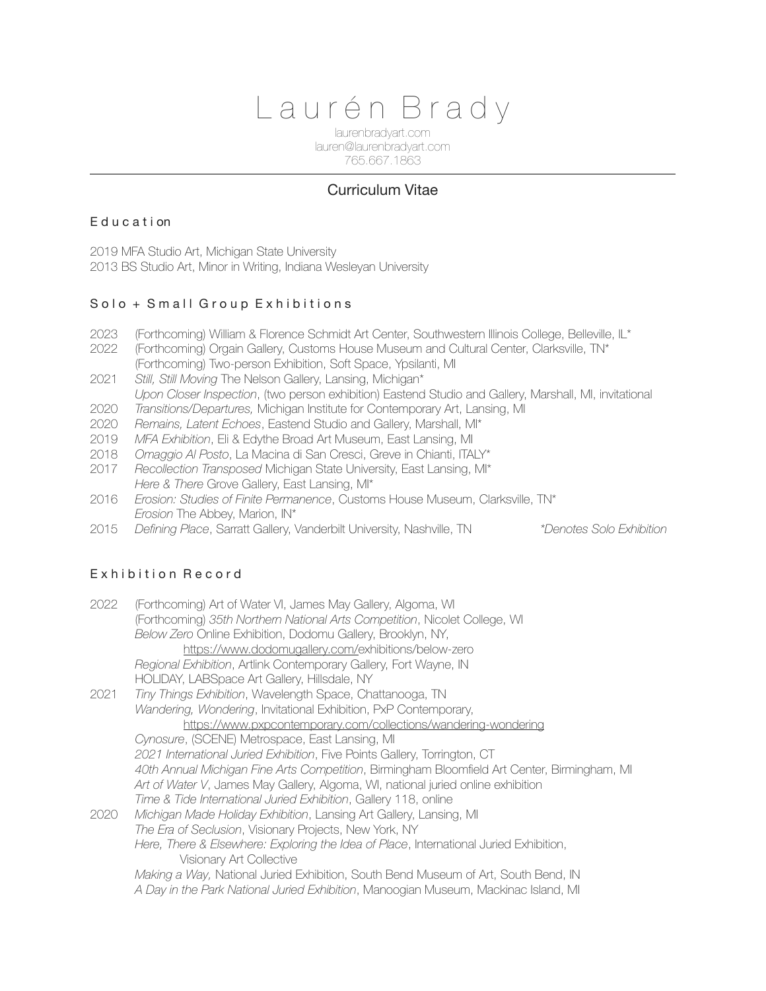# Laurén Brady

laurenbradyart.com lauren@laurenbradyart.com 765.667.1863

# Curriculum Vitae

#### E d u c a t i on

2019 MFA Studio Art, Michigan State University 2013 BS Studio Art, Minor in Writing, Indiana Wesleyan University

#### Solo + Small Group Exhibitions

- 2023 (Forthcoming) William & Florence Schmidt Art Center, Southwestern Illinois College, Belleville, IL\*
- 2022 (Forthcoming) Orgain Gallery, Customs House Museum and Cultural Center, Clarksville, TN\* (Forthcoming) Two-person Exhibition, Soft Space, Ypsilanti, MI
- 2021 *Still, Still Moving* The Nelson Gallery, Lansing, Michigan\* *Upon Closer Inspection*, (two person exhibition) Eastend Studio and Gallery, Marshall, MI, invitational
- 2020 *Transitions/Departures,* Michigan Institute for Contemporary Art, Lansing, MI
- 2020 *Remains, Latent Echoes*, Eastend Studio and Gallery, Marshall, MI\*
- 2019 *MFA Exhibition*, Eli & Edythe Broad Art Museum, East Lansing, MI
- 2018 *Omaggio Al Posto*, La Macina di San Cresci, Greve in Chianti, ITALY\*
- 2017 *Recollection Transposed* Michigan State University, East Lansing, MI\* *Here & There* Grove Gallery, East Lansing, MI\*
- 2016 *Erosion: Studies of Finite Permanence*, Customs House Museum, Clarksville, TN\* *Erosion* The Abbey, Marion, IN\*
- 2015 *Defining Place*, Sarratt Gallery, Vanderbilt University, Nashville, TN *\*Denotes Solo Exhibition*

## Exhibition Record

| 2022 | (Forthcoming) Art of Water VI, James May Gallery, Algoma, WI                                 |
|------|----------------------------------------------------------------------------------------------|
|      | (Forthcoming) 35th Northern National Arts Competition, Nicolet College, WI                   |
|      | Below Zero Online Exhibition, Dodomu Gallery, Brooklyn, NY,                                  |
|      | https://www.dodomugallery.com/exhibitions/below-zero                                         |
|      | Regional Exhibition, Artlink Contemporary Gallery, Fort Wayne, IN                            |
|      | HOLIDAY, LABSpace Art Gallery, Hillsdale, NY                                                 |
| 2021 | Tiny Things Exhibition, Wavelength Space, Chattanooga, TN                                    |
|      | Wandering, Wondering, Invitational Exhibition, PxP Contemporary,                             |
|      | https://www.pxpcontemporary.com/collections/wandering-wondering                              |
|      | Cynosure, (SCENE) Metrospace, East Lansing, MI                                               |
|      | 2021 International Juried Exhibition, Five Points Gallery, Torrington, CT                    |
|      | 40th Annual Michigan Fine Arts Competition, Birmingham Bloomfield Art Center, Birmingham, MI |
|      | Art of Water V, James May Gallery, Algoma, WI, national juried online exhibition             |
|      | Time & Tide International Juried Exhibition, Gallery 118, online                             |
| 2020 | Michigan Made Holiday Exhibition, Lansing Art Gallery, Lansing, MI                           |
|      | The Era of Seclusion, Visionary Projects, New York, NY                                       |
|      | Here, There & Elsewhere: Exploring the Idea of Place, International Juried Exhibition,       |
|      | Visionary Art Collective                                                                     |
|      | Making a Way, National Juried Exhibition, South Bend Museum of Art, South Bend, IN           |
|      | A Day in the Park National Juried Exhibition, Manoogian Museum, Mackinac Island, MI          |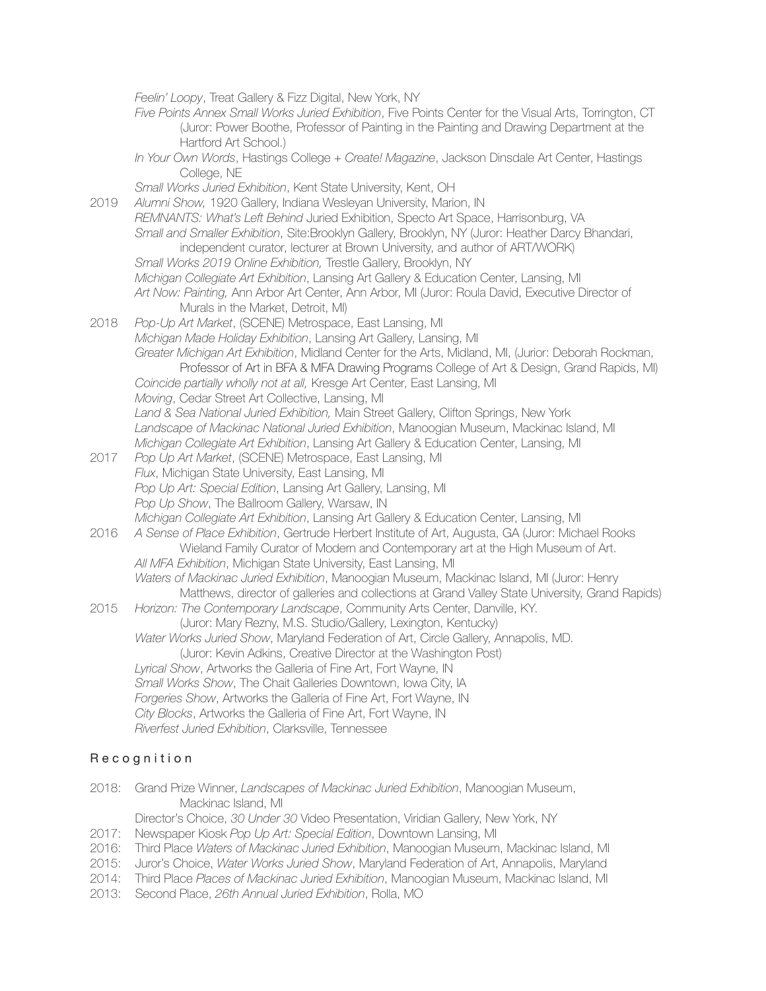*Feelin' Loopy*, Treat Gallery & Fizz Digital, New York, NY *Five Points Annex Small Works Juried Exhibition*, Five Points Center for the Visual Arts, Torrington, CT (Juror: Power Boothe, Professor of Painting in the Painting and Drawing Department at the Hartford Art School.) *In Your Own Words*, Hastings College + *Create! Magazine*, Jackson Dinsdale Art Center, Hastings College, NE *Small Works Juried Exhibition*, Kent State University, Kent, OH 2019 *Alumni Show,* 1920 Gallery, Indiana Wesleyan University, Marion, IN *REMNANTS: What's Left Behind* Juried Exhibition, Specto Art Space, Harrisonburg, VA *Small and Smaller Exhibition*, Site:Brooklyn Gallery, Brooklyn, NY (Juror: Heather Darcy Bhandari, independent curator, lecturer at Brown University, and author of ART/WORK) *Small Works 2019 Online Exhibition,* Trestle Gallery, Brooklyn, NY *Michigan Collegiate Art Exhibition*, Lansing Art Gallery & Education Center, Lansing, MI *Art Now: Painting,* Ann Arbor Art Center, Ann Arbor, MI (Juror: Roula David, Executive Director of [Murals in the Market,](https://www.muralsinthemarket.com/) Detroit, MI) 2018 *Pop-Up Art Market*, (SCENE) Metrospace, East Lansing, MI *Michigan Made Holiday Exhibition*, Lansing Art Gallery, Lansing, MI *Greater Michigan Art Exhibition*, Midland Center for the Arts, Midland, MI, (Jurior: Deborah Rockman, Professor of Art in BFA & MFA Drawing Programs College of Art & Design, Grand Rapids, MI) *Coincide partially wholly not at all,* Kresge Art Center, East Lansing, MI *Moving*, Cedar Street Art Collective, Lansing, MI *Land & Sea National Juried Exhibition,* Main Street Gallery, Clifton Springs, New York *Landscape of Mackinac National Juried Exhibition*, Manoogian Museum, Mackinac Island, MI *Michigan Collegiate Art Exhibition*, Lansing Art Gallery & Education Center, Lansing, MI 2017 *Pop Up Art Market*, (SCENE) Metrospace, East Lansing, MI *Flux*, Michigan State University, East Lansing, MI *Pop Up Art: Special Edition*, Lansing Art Gallery, Lansing, MI *Pop Up Show*, The Ballroom Gallery, Warsaw, IN *Michigan Collegiate Art Exhibition*, Lansing Art Gallery & Education Center, Lansing, MI 2016 *A Sense of Place Exhibition*, Gertrude Herbert Institute of Art, Augusta, GA (Juror: Michael Rooks Wieland Family Curator of Modern and Contemporary art at the High Museum of Art. *All MFA Exhibition*, Michigan State University, East Lansing, MI *Waters of Mackinac Juried Exhibition*, Manoogian Museum, Mackinac Island, MI (Juror: Henry Matthews, director of galleries and collections at Grand Valley State University, Grand Rapids) 2015 *Horizon: The Contemporary Landscape*, Community Arts Center, Danville, KY. (Juror: Mary Rezny, M.S. Studio/Gallery, Lexington, Kentucky) *Water Works Juried Show*, Maryland Federation of Art, Circle Gallery, Annapolis, MD. (Juror: Kevin Adkins, Creative Director at the Washington Post) *Lyrical Show*, Artworks the Galleria of Fine Art, Fort Wayne, IN *Small Works Show*, The Chait Galleries Downtown, Iowa City, IA *Forgeries Show*, Artworks the Galleria of Fine Art, Fort Wayne, IN *City Blocks*, Artworks the Galleria of Fine Art, Fort Wayne, IN *Riverfest Juried Exhibition*, Clarksville, Tennessee

## R e c o g n i t i o n

2018: Grand Prize Winner, *Landscapes of Mackinac Juried Exhibition*, Manoogian Museum, Mackinac Island, MI

Director's Choice, *30 Under 30* Video Presentation, Viridian Gallery, New York, NY

- 2017: Newspaper Kiosk *Pop Up Art: Special Edition*, Downtown Lansing, MI
- 2016: Third Place *Waters of Mackinac Juried Exhibition*, Manoogian Museum, Mackinac Island, MI
- 2015: Juror's Choice, *Water Works Juried Show*, Maryland Federation of Art, Annapolis, Maryland
- 2014: Third Place *Places of Mackinac Juried Exhibition*, Manoogian Museum, Mackinac Island, MI
- 2013: Second Place, *26th Annual Juried Exhibition*, Rolla, MO